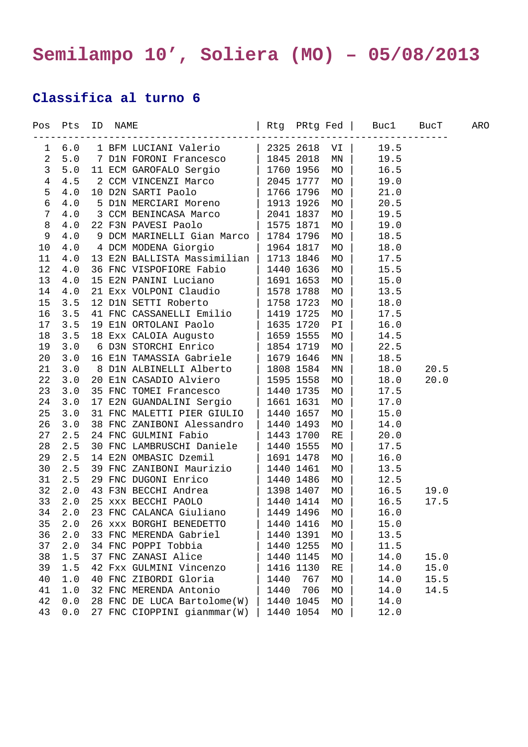## **Semilampo 10', Soliera (MO) – 05/08/2013**

## **Classifica al turno 6**

| Pos            | Pts          | ID | NAME |                             |           |           | Rtg PRtg Fed  | Buc1 | BucT | ARO |
|----------------|--------------|----|------|-----------------------------|-----------|-----------|---------------|------|------|-----|
| 1              | $6.0$        |    |      | 1 BFM LUCIANI Valerio       |           | 2325 2618 | VI            | 19.5 |      |     |
| $\overline{a}$ | 5.0          |    |      | 7 D1N FORONI Francesco      |           | 1845 2018 | $\texttt{MN}$ | 19.5 |      |     |
| $\mathsf{3}$   | 5.0          |    |      | 11 ECM GAROFALO Sergio      |           | 1760 1956 | MO            | 16.5 |      |     |
| $\sqrt{4}$     | 4.5          |    |      | 2 CCM VINCENZI Marco        |           | 2045 1777 | MO            | 19.0 |      |     |
| 5              | 4.0          |    |      | 10 D2N SARTI Paolo          |           | 1766 1796 | MO            | 21.0 |      |     |
| 6              | $4\,.0$      |    |      | 5 D1N MERCIARI Moreno       |           | 1913 1926 | MO            | 20.5 |      |     |
| 7              | 4.0          |    |      | 3 CCM BENINCASA Marco       |           | 2041 1837 | MO            | 19.5 |      |     |
| 8              | 4.0          |    |      | 22 F3N PAVESI Paolo         |           | 1575 1871 | MO            | 19.0 |      |     |
| 9              | $4.0$        |    |      | 9 DCM MARINELLI Gian Marco  |           | 1784 1796 | MO            | 18.5 |      |     |
| $10$           | 4.0          |    |      | 4 DCM MODENA Giorgio        |           | 1964 1817 | MO            | 18.0 |      |     |
| 11             | 4.0          |    |      | 13 E2N BALLISTA Massimilian |           | 1713 1846 | $_{\rm MO}$   | 17.5 |      |     |
| 12             | 4.0          |    |      | 36 FNC VISPOFIORE Fabio     |           | 1440 1636 | MO            | 15.5 |      |     |
| 13             | $4\,.$ $0\,$ |    |      | 15 E2N PANINI Luciano       |           | 1691 1653 | MO            | 15.0 |      |     |
| 14             | 4.0          |    |      | 21 Exx VOLPONI Claudio      | 1578 1788 |           | MO            | 13.5 |      |     |
| 15             | 3.5          |    |      | 12 D1N SETTI Roberto        |           | 1758 1723 | MO            | 18.0 |      |     |
| 16             | 3.5          |    |      | 41 FNC CASSANELLI Emilio    |           | 1419 1725 | MO            | 17.5 |      |     |
| 17             | 3.5          |    |      | 19 E1N ORTOLANI Paolo       |           | 1635 1720 | PI            | 16.0 |      |     |
| 18             | 3.5          |    |      | 18 Exx CALOIA Augusto       |           | 1659 1555 | MO            | 14.5 |      |     |
| 19             | 3.0          |    |      | 6 D3N STORCHI Enrico        |           | 1854 1719 | MO            | 22.5 |      |     |
| 20             | 3.0          |    |      | 16 E1N TAMASSIA Gabriele    |           | 1679 1646 | MN            | 18.5 |      |     |
| 21             | 3.0          |    |      | 8 D1N ALBINELLI Alberto     |           | 1808 1584 | MN            | 18.0 | 20.5 |     |
| 22             | 3.0          |    |      | 20 ElN CASADIO Alviero      |           | 1595 1558 | MO            | 18.0 | 20.0 |     |
| 23             | 3.0          |    |      | 35 FNC TOMEI Francesco      |           | 1440 1735 | MO            | 17.5 |      |     |
| 24             | 3.0          |    |      | 17 E2N GUANDALINI Sergio    |           | 1661 1631 | MO            | 17.0 |      |     |
| 25             | 3.0          |    |      | 31 FNC MALETTI PIER GIULIO  |           | 1440 1657 | $_{\rm MO}$   | 15.0 |      |     |
| 26             | 3.0          |    |      | 38 FNC ZANIBONI Alessandro  |           | 1440 1493 | MO            | 14.0 |      |     |
| 27             | 2.5          |    |      | 24 FNC GULMINI Fabio        |           | 1443 1700 | RE            | 20.0 |      |     |
| 28             | 2.5          |    |      | 30 FNC LAMBRUSCHI Daniele   |           | 1440 1555 | MO            | 17.5 |      |     |
| 29             | 2.5          |    |      | 14 E2N OMBASIC Dzemil       |           | 1691 1478 | MO            | 16.0 |      |     |
| 30             | 2.5          |    |      | 39 FNC ZANIBONI Maurizio    |           | 1440 1461 | MO            | 13.5 |      |     |
| 31             | 2.5          |    |      | 29 FNC DUGONI Enrico        |           | 1440 1486 | MO            | 12.5 |      |     |
| 32             | 2.0          |    |      | 43 F3N BECCHI Andrea        |           | 1398 1407 | MO            | 16.5 | 19.0 |     |
| 33             | 2.0          |    |      | 25 xxx BECCHI PAOLO         |           | 1440 1414 | MO            | 16.5 | 17.5 |     |
| 34             | 2.0          |    |      | 23 FNC CALANCA Giuliano     |           | 1449 1496 | MO            | 16.0 |      |     |
| 35             | 2.0          |    |      | 26 xxx BORGHI BENEDETTO     |           | 1440 1416 | MO            | 15.0 |      |     |
| 36             | 2.0          |    |      | 33 FNC MERENDA Gabriel      |           | 1440 1391 | MO            | 13.5 |      |     |
| 37             | 2.0          |    |      | 34 FNC POPPI Tobbia         |           | 1440 1255 | MO            | 11.5 |      |     |
| 38             | 1.5          |    |      | 37 FNC ZANASI Alice         |           | 1440 1145 | MO            | 14.0 | 15.0 |     |
| 39             | 1.5          |    |      | 42 Fxx GULMINI Vincenzo     |           | 1416 1130 | $\mathbb{RE}$ | 14.0 | 15.0 |     |
| 40             | 1.0          |    |      | 40 FNC ZIBORDI Gloria       | 1440      | 767       | <b>MO</b>     | 14.0 | 15.5 |     |
| 41             | 1.0          |    |      | 32 FNC MERENDA Antonio      | 1440      | 706       | MO            | 14.0 | 14.5 |     |
| 42             | 0.0          |    |      | 28 FNC DE LUCA Bartolome(W) |           | 1440 1045 | МO            | 14.0 |      |     |
| 43             | $0.0$        |    |      | 27 FNC CIOPPINI gianmmar(W) |           | 1440 1054 | MO            | 12.0 |      |     |